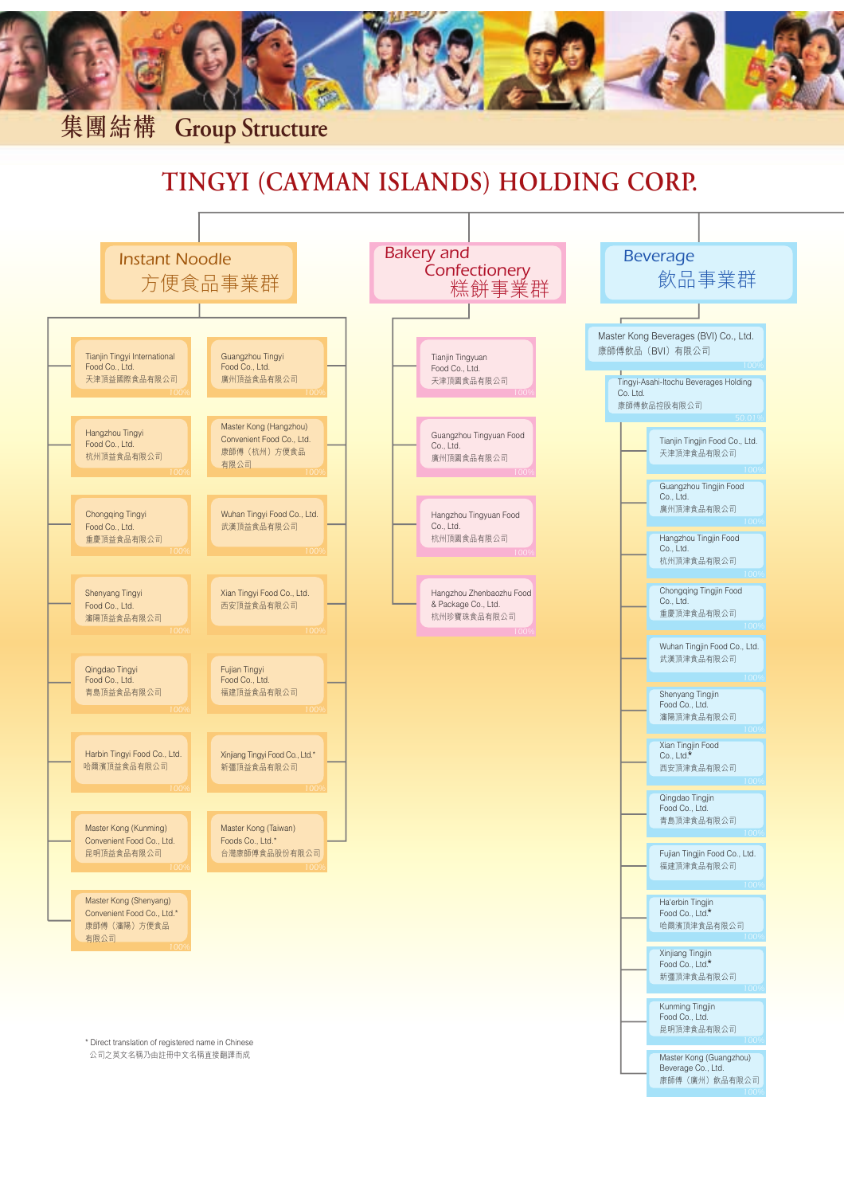

## **TINGYI (CAYMAN ISLANDS) HOLDING CORP.**